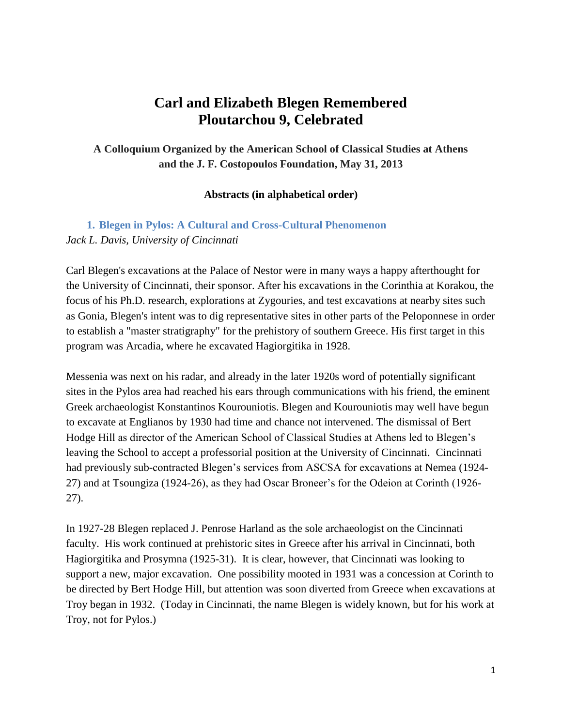## **Carl and Elizabeth Blegen Remembered Ploutarchou 9, Celebrated**

**A Colloquium Organized by the American School of Classical Studies at Athens and the J. F. Costopoulos Foundation, May 31, 2013**

#### **Abstracts (in alphabetical order)**

#### **1. Blegen in Pylos: A Cultural and Cross-Cultural Phenomenon** *Jack L. Davis, University of Cincinnati*

Carl Blegen's excavations at the Palace of Nestor were in many ways a happy afterthought for the University of Cincinnati, their sponsor. After his excavations in the Corinthia at Korakou, the focus of his Ph.D. research, explorations at Zygouries, and test excavations at nearby sites such as Gonia, Blegen's intent was to dig representative sites in other parts of the Peloponnese in order to establish a "master stratigraphy" for the prehistory of southern Greece. His first target in this program was Arcadia, where he excavated Hagiorgitika in 1928.

Messenia was next on his radar, and already in the later 1920s word of potentially significant sites in the Pylos area had reached his ears through communications with his friend, the eminent Greek archaeologist Konstantinos Kourouniotis. Blegen and Kourouniotis may well have begun to excavate at Englianos by 1930 had time and chance not intervened. The dismissal of Bert Hodge Hill as director of the American School of Classical Studies at Athens led to Blegen's leaving the School to accept a professorial position at the University of Cincinnati. Cincinnati had previously sub-contracted Blegen's services from ASCSA for excavations at Nemea (1924- 27) and at Tsoungiza (1924-26), as they had Oscar Broneer's for the Odeion at Corinth (1926- 27).

In 1927-28 Blegen replaced J. Penrose Harland as the sole archaeologist on the Cincinnati faculty. His work continued at prehistoric sites in Greece after his arrival in Cincinnati, both Hagiorgitika and Prosymna (1925-31). It is clear, however, that Cincinnati was looking to support a new, major excavation. One possibility mooted in 1931 was a concession at Corinth to be directed by Bert Hodge Hill, but attention was soon diverted from Greece when excavations at Troy began in 1932. (Today in Cincinnati, the name Blegen is widely known, but for his work at Troy, not for Pylos.)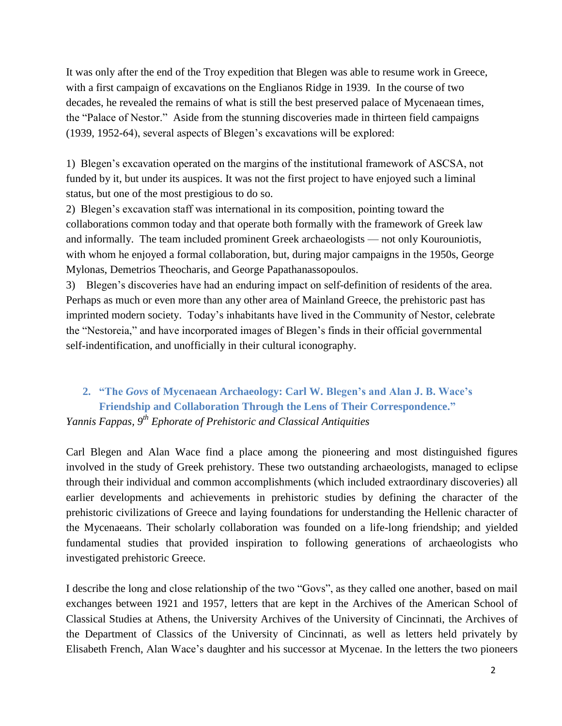It was only after the end of the Troy expedition that Blegen was able to resume work in Greece, with a first campaign of excavations on the Englianos Ridge in 1939. In the course of two decades, he revealed the remains of what is still the best preserved palace of Mycenaean times, the "Palace of Nestor." Aside from the stunning discoveries made in thirteen field campaigns (1939, 1952-64), several aspects of Blegen's excavations will be explored:

1) Blegen's excavation operated on the margins of the institutional framework of ASCSA, not funded by it, but under its auspices. It was not the first project to have enjoyed such a liminal status, but one of the most prestigious to do so.

2) Blegen's excavation staff was international in its composition, pointing toward the collaborations common today and that operate both formally with the framework of Greek law and informally. The team included prominent Greek archaeologists — not only Kourouniotis, with whom he enjoyed a formal collaboration, but, during major campaigns in the 1950s, George Mylonas, Demetrios Theocharis, and George Papathanassopoulos.

3) Blegen's discoveries have had an enduring impact on self-definition of residents of the area. Perhaps as much or even more than any other area of Mainland Greece, the prehistoric past has imprinted modern society. Today's inhabitants have lived in the Community of Nestor, celebrate the "Nestoreia," and have incorporated images of Blegen's finds in their official governmental self-indentification, and unofficially in their cultural iconography.

**2. "The** *Govs* **of Mycenaean Archaeology: Carl W. Blegen's and Alan J. B. Wace's Friendship and Collaboration Through the Lens of Their Correspondence."** *Yannis Fappas, 9th Ephorate of Prehistoric and Classical Antiquities*

Carl Blegen and Alan Wace find a place among the pioneering and most distinguished figures involved in the study of Greek prehistory. These two outstanding archaeologists, managed to eclipse through their individual and common accomplishments (which included extraordinary discoveries) all earlier developments and achievements in prehistoric studies by defining the character of the prehistoric civilizations of Greece and laying foundations for understanding the Hellenic character of the Mycenaeans. Their scholarly collaboration was founded on a life-long friendship; and yielded fundamental studies that provided inspiration to following generations of archaeologists who investigated prehistoric Greece.

I describe the long and close relationship of the two "Govs", as they called one another, based on mail exchanges between 1921 and 1957, letters that are kept in the Archives of the American School of Classical Studies at Athens, the University Archives of the University of Cincinnati, the Archives of the Department of Classics of the University of Cincinnati, as well as letters held privately by Elisabeth French, Alan Wace's daughter and his successor at Mycenae. In the letters the two pioneers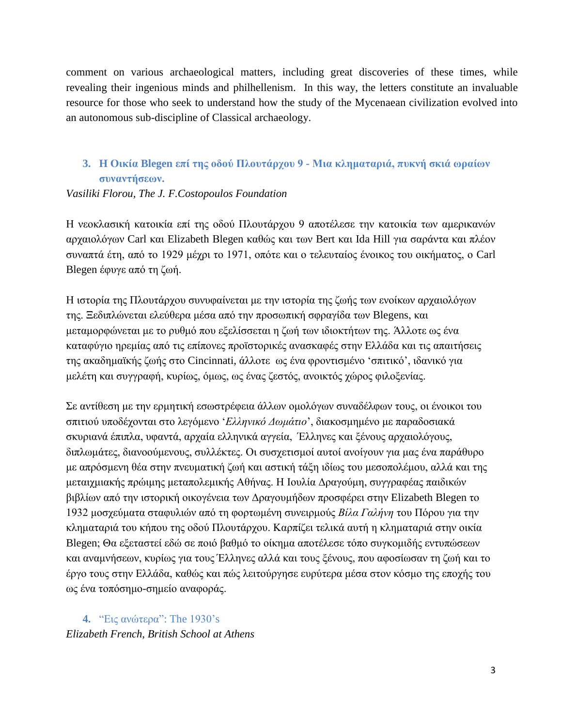comment on various archaeological matters, including great discoveries of these times, while revealing their ingenious minds and philhellenism. In this way, the letters constitute an invaluable resource for those who seek to understand how the study of the Mycenaean civilization evolved into an autonomous sub-discipline of Classical archaeology.

## **3. H Οικία Blegen επί της οδού Πλουτάρχου 9 - Μια κληματαριά, πυκνή σκιά ωραίων συναντήσεων.**

#### *Vasiliki Florou, The J. F.Costopoulos Foundation*

Η νεοκλασική κατοικία επί της οδού Πλουτάρχου 9 αποτέλεσε την κατοικία των αμερικανών αρχαιολόγων Carl και Elizabeth Βlegen καθώς και των Bert και Ida Hill για σαράντα και πλέον συναπτά έτη, από το 1929 μέχρι το 1971, οπότε και ο τελευταίος ένοικος του οικήματος, ο Carl Blegen έφυγε από τη ζωή.

Η ιστορία της Πλουτάρχου συνυφαίνεται με την ιστορία της ζωής των ενοίκων αρχαιολόγων της. Ξεδιπλώνεται ελεύθερα μέσα από την προσωπική σφραγίδα των Blegens, και μεταμορφώνεται με το ρυθμό που εξελίσσεται η ζωή των ιδιοκτήτων της. Άλλοτε ως ένα καταφύγιο ηρεμίας από τις επίπονες προϊστορικές ανασκαφές στην Ελλάδα και τις απαιτήσεις της ακαδημαϊκής ζωής στο Cincinnati, άλλοτε ως ένα φροντισμένο 'σπιτικό', ιδανικό για μελέτη και συγγραφή, κυρίως, όμως, ως ένας ζεστός, ανοικτός χώρος φιλοξενίας.

Σε αντίθεση με την ερμητική εσωστρέφεια άλλων ομολόγων συναδέλφων τους, οι ένοικοι του σπιτιού υποδέχονται στο λεγόμενο '*Ελληνικό Δωμάτιο*', διακοσμημένο με παραδοσιακά σκυριανά έπιπλα, υφαντά, αρχαία ελληνικά αγγεία, Έλληνες και ξένους αρχαιολόγους, διπλωμάτες, διανοούμενους, συλλέκτες. Οι συσχετισμοί αυτοί ανοίγουν για μας ένα παράθυρο με απρόσμενη θέα στην πνευματική ζωή και αστική τάξη ιδίως του μεσοπολέμου, αλλά και της μεταιχμιακής πρώιμης μεταπολεμικής Αθήνας. Η Ιουλία Δραγούμη, συγγραφέας παιδικών βιβλίων από την ιστορική οικογένεια των Δραγουμήδων προσφέρει στην Elizabeth Blegen το 1932 μοσχεύματα σταφυλιών από τη φορτωμένη συνειρμούς *Βίλα Γαλήνη* του Πόρου για την κληματαριά του κήπου της οδού Πλουτάρχου. Καρπίζει τελικά αυτή η κληματαριά στην οικία Blegen; Θα εξεταστεί εδώ σε ποιό βαθμό το οίκημα αποτέλεσε τόπο συγκομιδής εντυπώσεων και αναμνήσεων, κυρίως για τους Έλληνες αλλά και τους ξένους, που αφοσίωσαν τη ζωή και το έργο τους στην Ελλάδα, καθώς και πώς λειτούργησε ευρύτερα μέσα στον κόσμο της εποχής του ως ένα τοπόσημο-σημείο αναφοράς.

**4.** "Εις ανώτερα": The 1930's *Elizabeth French, British School at Athens*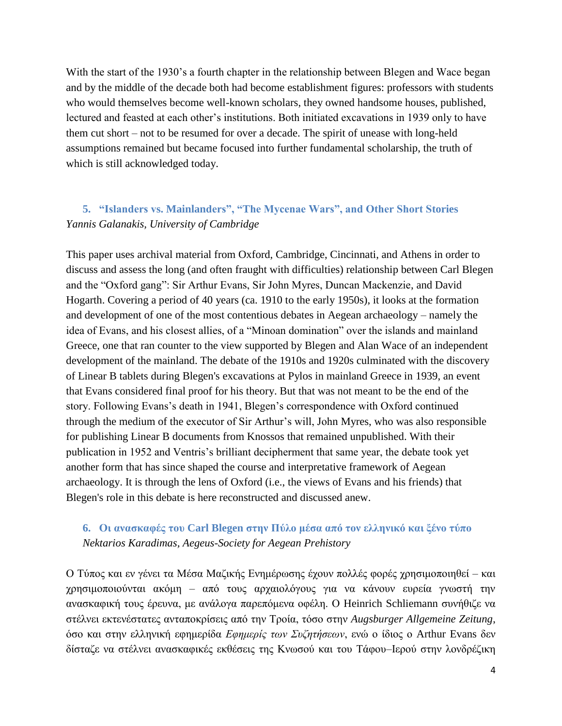With the start of the 1930's a fourth chapter in the relationship between Blegen and Wace began and by the middle of the decade both had become establishment figures: professors with students who would themselves become well-known scholars, they owned handsome houses, published, lectured and feasted at each other's institutions. Both initiated excavations in 1939 only to have them cut short – not to be resumed for over a decade. The spirit of unease with long-held assumptions remained but became focused into further fundamental scholarship, the truth of which is still acknowledged today.

### **5. "Islanders vs. Mainlanders", "The Mycenae Wars", and Other Short Stories** *Yannis Galanakis, University of Cambridge*

This paper uses archival material from Oxford, Cambridge, Cincinnati, and Athens in order to discuss and assess the long (and often fraught with difficulties) relationship between Carl Blegen and the "Oxford gang": Sir Arthur Evans, Sir John Myres, Duncan Mackenzie, and David Hogarth. Covering a period of 40 years (ca. 1910 to the early 1950s), it looks at the formation and development of one of the most contentious debates in Aegean archaeology – namely the idea of Evans, and his closest allies, of a "Minoan domination" over the islands and mainland Greece, one that ran counter to the view supported by Blegen and Alan Wace of an independent development of the mainland. The debate of the 1910s and 1920s culminated with the discovery of Linear B tablets during Blegen's excavations at Pylos in mainland Greece in 1939, an event that Evans considered final proof for his theory. But that was not meant to be the end of the story. Following Evans's death in 1941, Blegen's correspondence with Oxford continued through the medium of the executor of Sir Arthur's will, John Myres, who was also responsible for publishing Linear B documents from Knossos that remained unpublished. With their publication in 1952 and Ventris's brilliant decipherment that same year, the debate took yet another form that has since shaped the course and interpretative framework of Aegean archaeology. It is through the lens of Oxford (i.e., the views of Evans and his friends) that Blegen's role in this debate is here reconstructed and discussed anew.

#### **6. Οι ανασκαφές του Carl Blegen στην Πύλο μέσα από τον ελληνικό και ξένο τύπο** *Nektarios Karadimas, Aegeus-Society for Aegean Prehistory*

Ο Τύπος και εν γένει τα Μέσα Μαζικής Ενημέρωσης έχουν πολλές φορές χρησιμοποιηθεί – και χρησιμοποιούνται ακόμη – από τους αρχαιολόγους για να κάνουν ευρεία γνωστή την ανασκαφική τους έρευνα, με ανάλογα παρεπόμενα οφέλη. Ο Heinrich Schliemann συνήθιζε να στέλνει εκτενέστατες ανταποκρίσεις από την Τροία, τόσο στην *Augsburger Allgemeine Zeitung*, όσο και στην ελληνική εφημερίδα *Εφημερίς των Συζητήσεων*, ενώ ο ίδιος ο Arthur Evans δεν δίσταζε να στέλνει ανασκαφικές εκθέσεις της Κνωσού και του Τάφου–Ιερού στην λονδρέζικη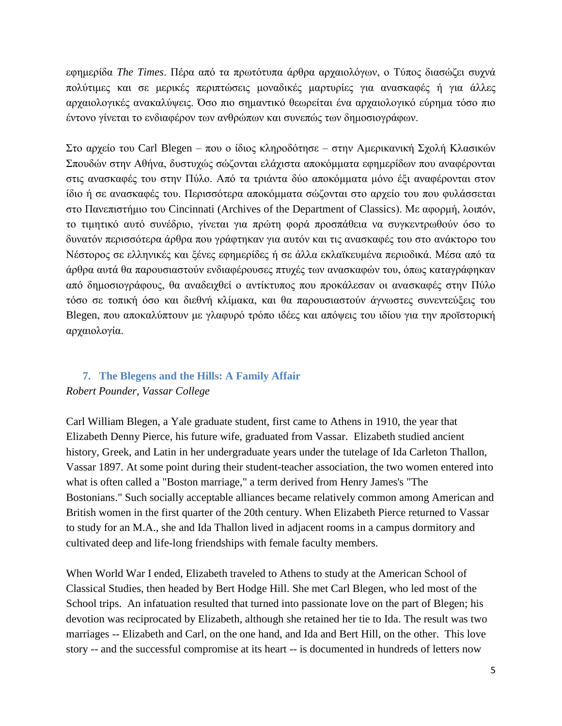εφημερίδα *The Times*. Πέρα από τα πρωτότυπα άρθρα αρχαιολόγων, ο Τύπος διασώζει συχνά πολύτιμες και σε μερικές περιπτώσεις μοναδικές μαρτυρίες για ανασκαφές ή για άλλες αρχαιολογικές ανακαλύψεις. Όσο πιο σημαντικό θεωρείται ένα αρχαιολογικό εύρημα τόσο πιο έντονο γίνεται το ενδιαφέρον των ανθρώπων και συνεπώς των δημοσιογράφων.

Στο αρχείο του Carl Blegen – που ο ίδιος κληροδότησε – στην Αμερικανική Σχολή Κλασικών Σπουδών στην Αθήνα, δυστυχώς σώζονται ελάχιστα αποκόμματα εφημερίδων που αναφέρονται στις ανασκαφές του στην Πύλο. Από τα τριάντα δύο αποκόμματα μόνο έξι αναφέρονται στον ίδιο ή σε ανασκαφές του. Περισσότερα αποκόμματα σώζονται στο αρχείο του που φυλάσσεται στο Πανεπιστήμιο του Cincinnati (Archives of the Department of Classics). Με αφορμή, λοιπόν, το τιμητικό αυτό συνέδριο, γίνεται για πρώτη φορά προσπάθεια να συγκεντρωθούν όσο το δυνατόν περισσότερα άρθρα που γράφτηκαν για αυτόν και τις ανασκαφές του στο ανάκτορο του Νέστορος σε ελληνικές και ξένες εφημερίδες ή σε άλλα εκλαϊκευμένα περιοδικά. Μέσα από τα άρθρα αυτά θα παρουσιαστούν ενδιαφέρουσες πτυχές των ανασκαφών του, όπως καταγράφηκαν από δημοσιογράφους, θα αναδειχθεί ο αντίκτυπος που προκάλεσαν οι ανασκαφές στην Πύλο τόσο σε τοπική όσο και διεθνή κλίμακα, και θα παρουσιαστούν άγνωστες συνεντεύξεις του Blegen, που αποκαλύπτουν με γλαφυρό τρόπο ιδέες και απόψεις του ιδίου για την προϊστορική αρχαιολογία.

# **7. The Blegens and the Hills: A Family Affair**

#### *Robert Pounder, Vassar College*

Carl William Blegen, a Yale graduate student, first came to Athens in 1910, the year that Elizabeth Denny Pierce, his future wife, graduated from Vassar. Elizabeth studied ancient history, Greek, and Latin in her undergraduate years under the tutelage of Ida Carleton Thallon, Vassar 1897. At some point during their student-teacher association, the two women entered into what is often called a "Boston marriage," a term derived from Henry James's "The Bostonians." Such socially acceptable alliances became relatively common among American and British women in the first quarter of the 20th century. When Elizabeth Pierce returned to Vassar to study for an M.A., she and Ida Thallon lived in adjacent rooms in a campus dormitory and cultivated deep and life-long friendships with female faculty members.

When World War I ended, Elizabeth traveled to Athens to study at the American School of Classical Studies, then headed by Bert Hodge Hill. She met Carl Blegen, who led most of the School trips. An infatuation resulted that turned into passionate love on the part of Blegen; his devotion was reciprocated by Elizabeth, although she retained her tie to Ida. The result was two marriages -- Elizabeth and Carl, on the one hand, and Ida and Bert Hill, on the other. This love story -- and the successful compromise at its heart -- is documented in hundreds of letters now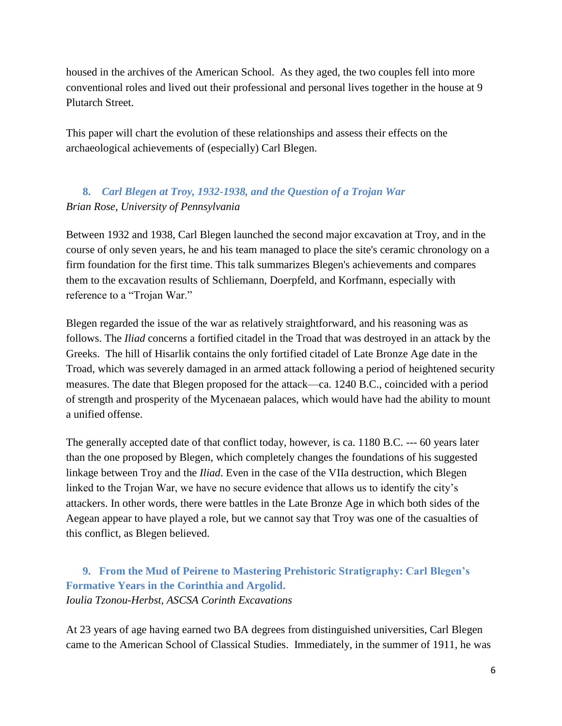housed in the archives of the American School. As they aged, the two couples fell into more conventional roles and lived out their professional and personal lives together in the house at 9 Plutarch Street.

This paper will chart the evolution of these relationships and assess their effects on the archaeological achievements of (especially) Carl Blegen.

## **8.** *Carl Blegen at Troy, 1932-1938, and the Question of a Trojan War Brian Rose, University of Pennsylvania*

Between 1932 and 1938, Carl Blegen launched the second major excavation at Troy, and in the course of only seven years, he and his team managed to place the site's ceramic chronology on a firm foundation for the first time. This talk summarizes Blegen's achievements and compares them to the excavation results of Schliemann, Doerpfeld, and Korfmann, especially with reference to a "Trojan War."

Blegen regarded the issue of the war as relatively straightforward, and his reasoning was as follows. The *Iliad* concerns a fortified citadel in the Troad that was destroyed in an attack by the Greeks. The hill of Hisarlik contains the only fortified citadel of Late Bronze Age date in the Troad, which was severely damaged in an armed attack following a period of heightened security measures. The date that Blegen proposed for the attack—ca. 1240 B.C., coincided with a period of strength and prosperity of the Mycenaean palaces, which would have had the ability to mount a unified offense.

The generally accepted date of that conflict today, however, is ca. 1180 B.C. --- 60 years later than the one proposed by Blegen, which completely changes the foundations of his suggested linkage between Troy and the *Iliad*. Even in the case of the VIIa destruction, which Blegen linked to the Trojan War, we have no secure evidence that allows us to identify the city's attackers. In other words, there were battles in the Late Bronze Age in which both sides of the Aegean appear to have played a role, but we cannot say that Troy was one of the casualties of this conflict, as Blegen believed.

## **9. From the Mud of Peirene to Mastering Prehistoric Stratigraphy: Carl Blegen's Formative Years in the Corinthia and Argolid.** *Ioulia Tzonou-Herbst, ASCSA Corinth Excavations*

At 23 years of age having earned two BA degrees from distinguished universities, Carl Blegen came to the American School of Classical Studies. Immediately, in the summer of 1911, he was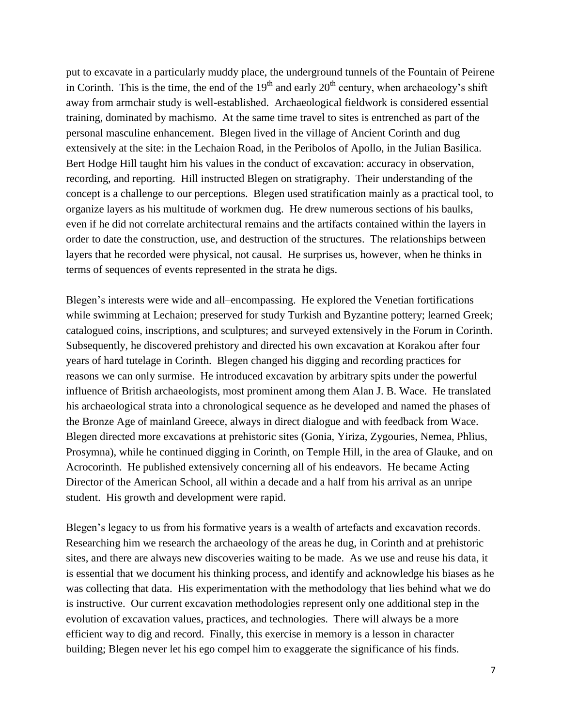put to excavate in a particularly muddy place, the underground tunnels of the Fountain of Peirene in Corinth. This is the time, the end of the  $19<sup>th</sup>$  and early  $20<sup>th</sup>$  century, when archaeology's shift away from armchair study is well-established. Archaeological fieldwork is considered essential training, dominated by machismo. At the same time travel to sites is entrenched as part of the personal masculine enhancement. Blegen lived in the village of Ancient Corinth and dug extensively at the site: in the Lechaion Road, in the Peribolos of Apollo, in the Julian Basilica. Bert Hodge Hill taught him his values in the conduct of excavation: accuracy in observation, recording, and reporting. Hill instructed Blegen on stratigraphy. Their understanding of the concept is a challenge to our perceptions. Blegen used stratification mainly as a practical tool, to organize layers as his multitude of workmen dug. He drew numerous sections of his baulks, even if he did not correlate architectural remains and the artifacts contained within the layers in order to date the construction, use, and destruction of the structures. The relationships between layers that he recorded were physical, not causal. He surprises us, however, when he thinks in terms of sequences of events represented in the strata he digs.

Blegen's interests were wide and all–encompassing. He explored the Venetian fortifications while swimming at Lechaion; preserved for study Turkish and Byzantine pottery; learned Greek; catalogued coins, inscriptions, and sculptures; and surveyed extensively in the Forum in Corinth. Subsequently, he discovered prehistory and directed his own excavation at Korakou after four years of hard tutelage in Corinth. Blegen changed his digging and recording practices for reasons we can only surmise. He introduced excavation by arbitrary spits under the powerful influence of British archaeologists, most prominent among them Alan J. B. Wace. He translated his archaeological strata into a chronological sequence as he developed and named the phases of the Bronze Age of mainland Greece, always in direct dialogue and with feedback from Wace. Blegen directed more excavations at prehistoric sites (Gonia, Yiriza, Zygouries, Nemea, Phlius, Prosymna), while he continued digging in Corinth, on Temple Hill, in the area of Glauke, and on Acrocorinth. He published extensively concerning all of his endeavors. He became Acting Director of the American School, all within a decade and a half from his arrival as an unripe student. His growth and development were rapid.

Blegen's legacy to us from his formative years is a wealth of artefacts and excavation records. Researching him we research the archaeology of the areas he dug, in Corinth and at prehistoric sites, and there are always new discoveries waiting to be made. As we use and reuse his data, it is essential that we document his thinking process, and identify and acknowledge his biases as he was collecting that data. His experimentation with the methodology that lies behind what we do is instructive. Our current excavation methodologies represent only one additional step in the evolution of excavation values, practices, and technologies. There will always be a more efficient way to dig and record. Finally, this exercise in memory is a lesson in character building; Blegen never let his ego compel him to exaggerate the significance of his finds.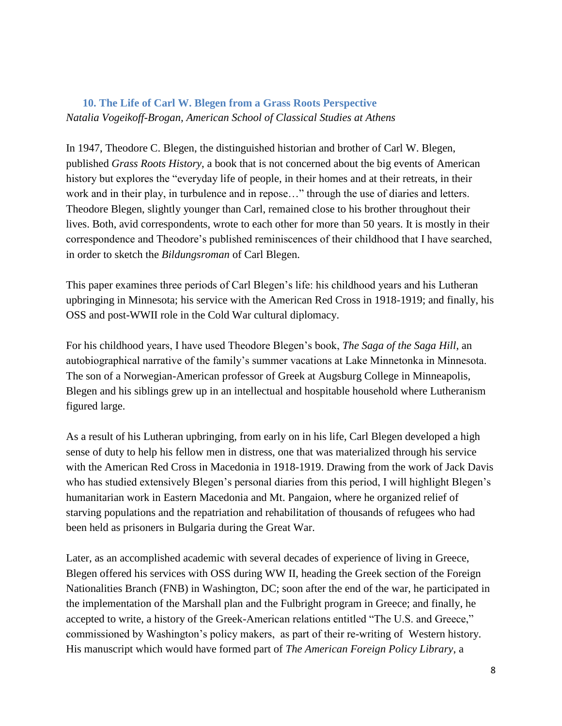## **10. The Life of Carl W. Blegen from a Grass Roots Perspective** *Natalia Vogeikoff-Brogan, American School of Classical Studies at Athens*

In 1947, Theodore C. Blegen, the distinguished historian and brother of Carl W. Blegen, published *Grass Roots History*, a book that is not concerned about the big events of American history but explores the "everyday life of people, in their homes and at their retreats, in their work and in their play, in turbulence and in repose…" through the use of diaries and letters. Theodore Blegen, slightly younger than Carl, remained close to his brother throughout their lives. Both, avid correspondents, wrote to each other for more than 50 years. It is mostly in their correspondence and Theodore's published reminiscences of their childhood that I have searched, in order to sketch the *Bildungsroman* of Carl Blegen.

This paper examines three periods of Carl Blegen's life: his childhood years and his Lutheran upbringing in Minnesota; his service with the American Red Cross in 1918-1919; and finally, his OSS and post-WWII role in the Cold War cultural diplomacy.

For his childhood years, I have used Theodore Blegen's book, *The Saga of the Saga Hill*, an autobiographical narrative of the family's summer vacations at Lake Minnetonka in Minnesota. The son of a Norwegian-American professor of Greek at Augsburg College in Minneapolis, Blegen and his siblings grew up in an intellectual and hospitable household where Lutheranism figured large.

As a result of his Lutheran upbringing, from early on in his life, Carl Blegen developed a high sense of duty to help his fellow men in distress, one that was materialized through his service with the American Red Cross in Macedonia in 1918-1919. Drawing from the work of Jack Davis who has studied extensively Blegen's personal diaries from this period, I will highlight Blegen's humanitarian work in Eastern Macedonia and Mt. Pangaion, where he organized relief of starving populations and the repatriation and rehabilitation of thousands of refugees who had been held as prisoners in Bulgaria during the Great War.

Later, as an accomplished academic with several decades of experience of living in Greece, Blegen offered his services with OSS during WW II, heading the Greek section of the Foreign Nationalities Branch (FNB) in Washington, DC; soon after the end of the war, he participated in the implementation of the Marshall plan and the Fulbright program in Greece; and finally, he accepted to write, a history of the Greek-American relations entitled "The U.S. and Greece," commissioned by Washington's policy makers, as part of their re-writing of Western history. His manuscript which would have formed part of *The American Foreign Policy Library*, a